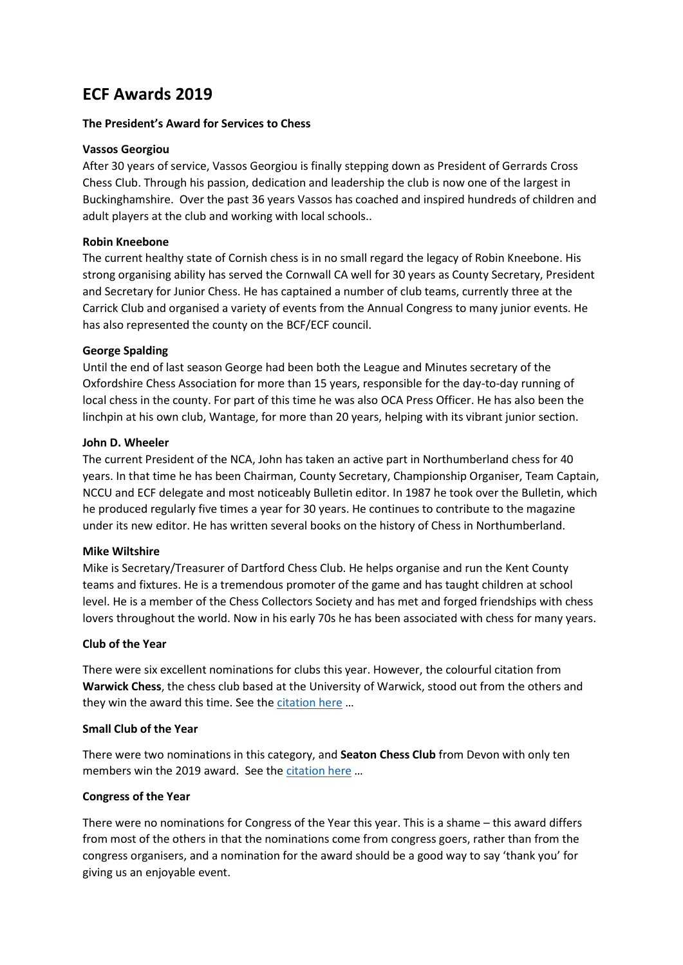# **ECF Awards 2019**

# **The President's Award for Services to Chess**

## **Vassos Georgiou**

After 30 years of service, Vassos Georgiou is finally stepping down as President of Gerrards Cross Chess Club. Through his passion, dedication and leadership the club is now one of the largest in Buckinghamshire. Over the past 36 years Vassos has coached and inspired hundreds of children and adult players at the club and working with local schools..

# **Robin Kneebone**

The current healthy state of Cornish chess is in no small regard the legacy of Robin Kneebone. His strong organising ability has served the Cornwall CA well for 30 years as County Secretary, President and Secretary for Junior Chess. He has captained a number of club teams, currently three at the Carrick Club and organised a variety of events from the Annual Congress to many junior events. He has also represented the county on the BCF/ECF council.

# **George Spalding**

Until the end of last season George had been both the League and Minutes secretary of the Oxfordshire Chess Association for more than 15 years, responsible for the day-to-day running of local chess in the county. For part of this time he was also OCA Press Officer. He has also been the linchpin at his own club, Wantage, for more than 20 years, helping with its vibrant junior section.

# **John D. Wheeler**

The current President of the NCA, John has taken an active part in Northumberland chess for 40 years. In that time he has been Chairman, County Secretary, Championship Organiser, Team Captain, NCCU and ECF delegate and most noticeably Bulletin editor. In 1987 he took over the Bulletin, which he produced regularly five times a year for 30 years. He continues to contribute to the magazine under its new editor. He has written several books on the history of Chess in Northumberland.

#### **Mike Wiltshire**

Mike is Secretary/Treasurer of Dartford Chess Club. He helps organise and run the Kent County teams and fixtures. He is a tremendous promoter of the game and has taught children at school level. He is a member of the Chess Collectors Society and has met and forged friendships with chess lovers throughout the world. Now in his early 70s he has been associated with chess for many years.

#### **Club of the Year**

There were six excellent nominations for clubs this year. However, the colourful citation from **Warwick Chess**, the chess club based at the University of Warwick, stood out from the others and they win the award this time. See the [citation here](https://www.englishchess.org.uk/wp-content/uploads/2019/06/WARWICK-CHESS.pdf) ...

#### **Small Club of the Year**

There were two nominations in this category, and **Seaton Chess Club** from Devon with only ten members win the 2019 award. See th[e citation here](https://www.englishchess.org.uk/wp-content/uploads/2019/06/SEATON-CHESS-CLUB.pdf) ...

#### **Congress of the Year**

There were no nominations for Congress of the Year this year. This is a shame – this award differs from most of the others in that the nominations come from congress goers, rather than from the congress organisers, and a nomination for the award should be a good way to say 'thank you' for giving us an enjoyable event.